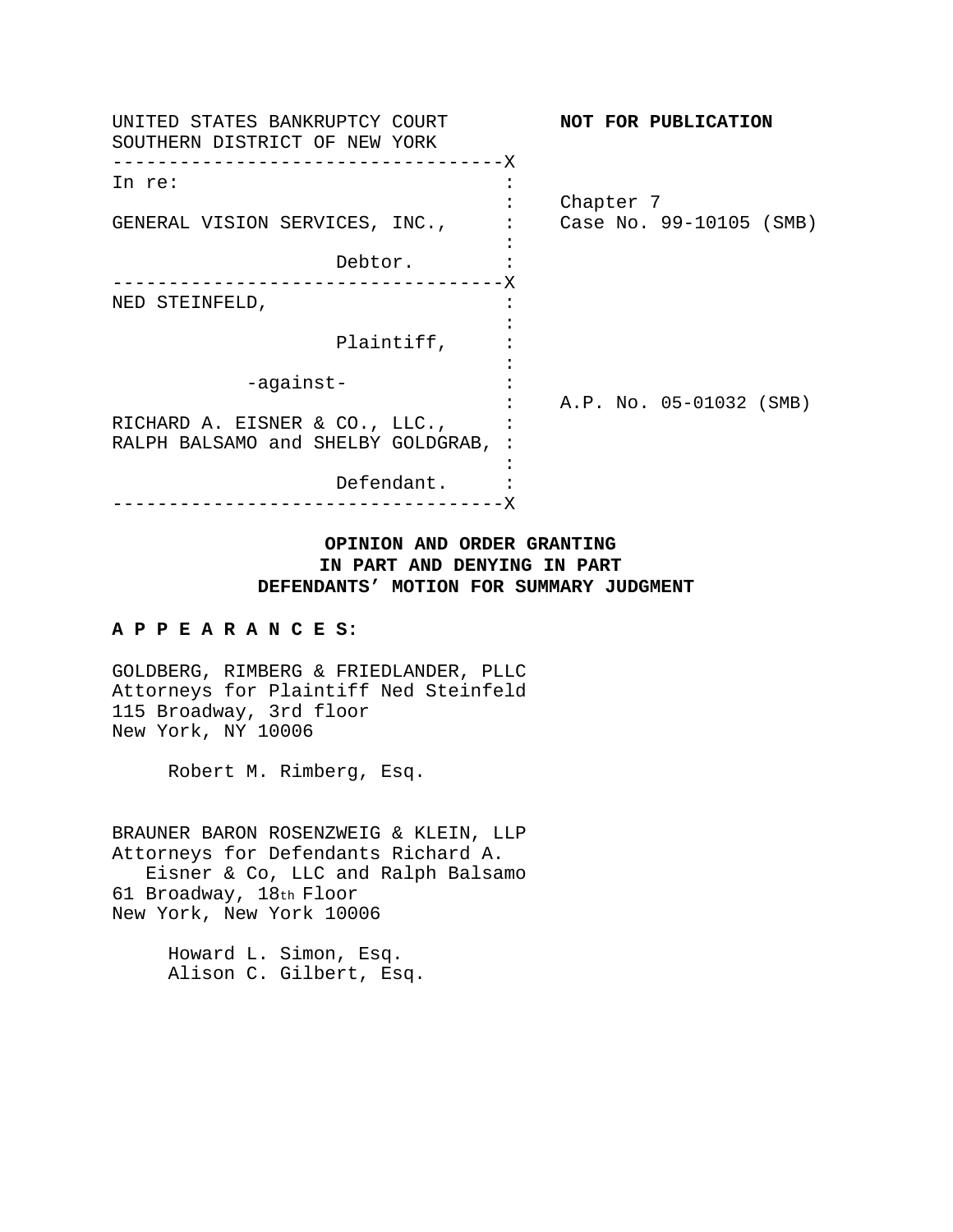| UNITED STATES BANKRUPTCY COURT<br>SOUTHERN DISTRICT OF NEW YORK      | NOT FOR PUBLICATION                  |
|----------------------------------------------------------------------|--------------------------------------|
| In re:                                                               |                                      |
| GENERAL VISION SERVICES, INC.,                                       | Chapter 7<br>Case No. 99-10105 (SMB) |
| Debtor.<br>– – – – – – X                                             |                                      |
| NED STEINFELD,                                                       |                                      |
| Plaintiff,                                                           |                                      |
| -against-                                                            | A.P. No. 05-01032 (SMB)              |
| RICHARD A. EISNER & CO., LLC.,<br>RALPH BALSAMO and SHELBY GOLDGRAB, |                                      |
| Defendant.<br>----------<br>$----X$                                  |                                      |

# **OPINION AND ORDER GRANTING IN PART AND DENYING IN PART DEFENDANTS' MOTION FOR SUMMARY JUDGMENT**

## **A P P E A R A N C E S:**

GOLDBERG, RIMBERG & FRIEDLANDER, PLLC Attorneys for Plaintiff Ned Steinfeld 115 Broadway, 3rd floor New York, NY 10006

Robert M. Rimberg, Esq.

BRAUNER BARON ROSENZWEIG & KLEIN, LLP Attorneys for Defendants Richard A. Eisner & Co, LLC and Ralph Balsamo 61 Broadway, 18th Floor New York, New York 10006

> Howard L. Simon, Esq. Alison C. Gilbert, Esq.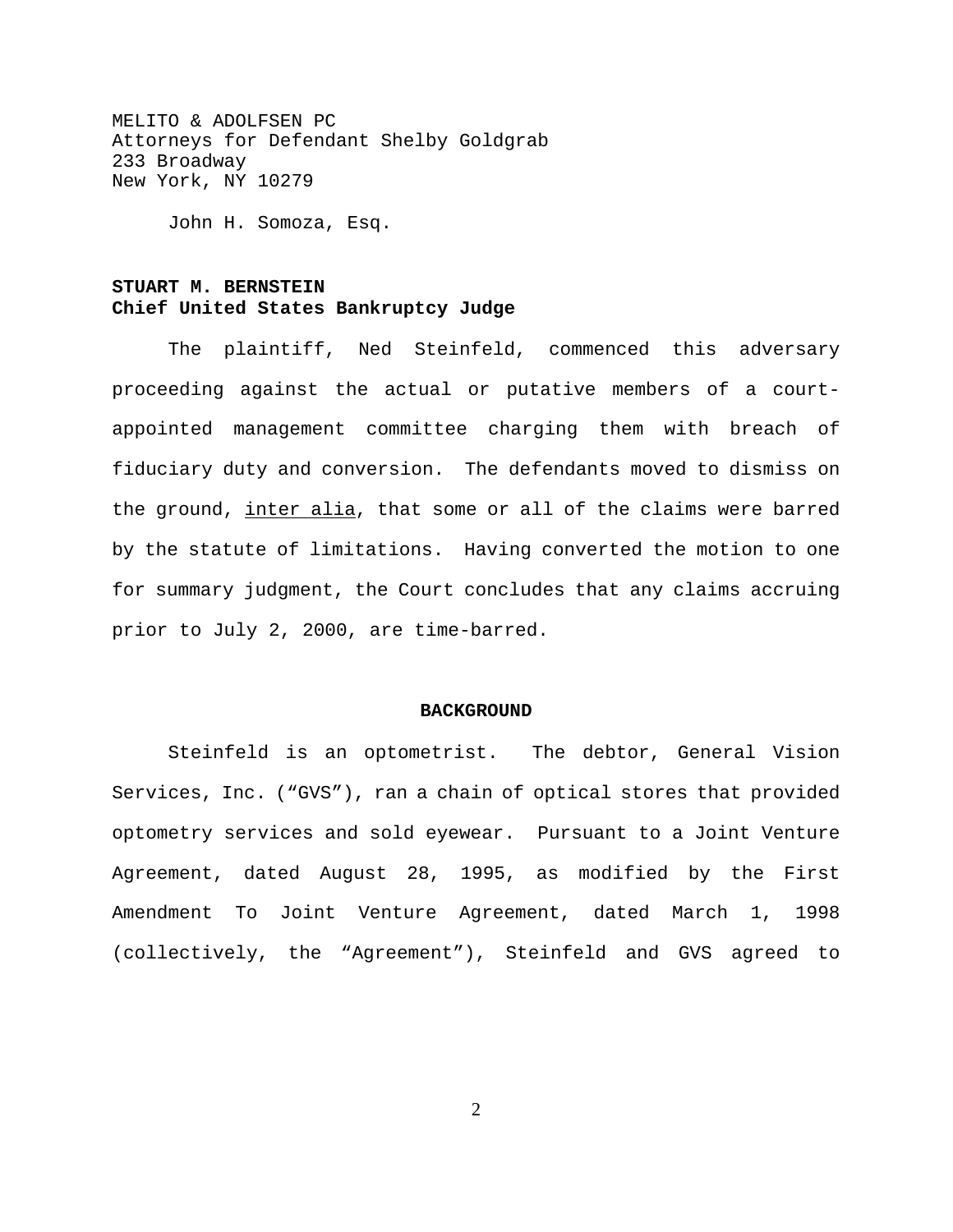MELITO & ADOLFSEN PC Attorneys for Defendant Shelby Goldgrab 233 Broadway New York, NY 10279

John H. Somoza, Esq.

# **STUART M. BERNSTEIN Chief United States Bankruptcy Judge**

The plaintiff, Ned Steinfeld, commenced this adversary proceeding against the actual or putative members of a courtappointed management committee charging them with breach of fiduciary duty and conversion. The defendants moved to dismiss on the ground, inter alia, that some or all of the claims were barred by the statute of limitations. Having converted the motion to one for summary judgment, the Court concludes that any claims accruing prior to July 2, 2000, are time-barred.

#### **BACKGROUND**

Steinfeld is an optometrist. The debtor, General Vision Services, Inc. ("GVS"), ran a chain of optical stores that provided optometry services and sold eyewear. Pursuant to a Joint Venture Agreement, dated August 28, 1995, as modified by the First Amendment To Joint Venture Agreement, dated March 1, 1998 (collectively, the "Agreement"), Steinfeld and GVS agreed to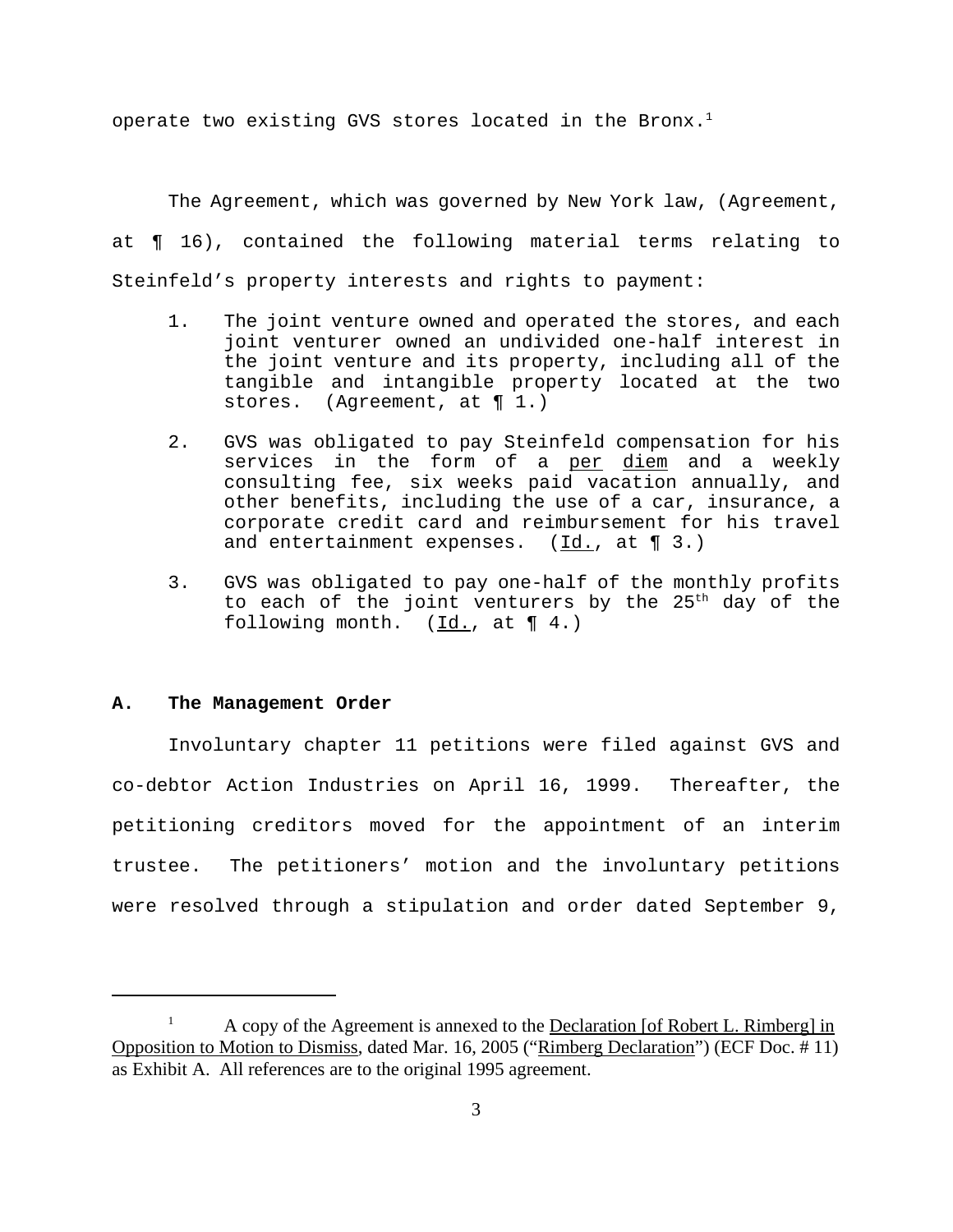operate two existing GVS stores located in the Bronx.<sup>1</sup>

The Agreement, which was governed by New York law, (Agreement, at ¶ 16), contained the following material terms relating to Steinfeld's property interests and rights to payment:

- 1. The joint venture owned and operated the stores, and each joint venturer owned an undivided one-half interest in the joint venture and its property, including all of the tangible and intangible property located at the two stores. (Agreement, at ¶ 1.)
- 2. GVS was obligated to pay Steinfeld compensation for his services in the form of a per diem and a weekly consulting fee, six weeks paid vacation annually, and other benefits, including the use of a car, insurance, a corporate credit card and reimbursement for his travel and entertainment expenses.  $(\underline{Id.}, \underline{at \P 3.})$
- 3. GVS was obligated to pay one-half of the monthly profits to each of the joint venturers by the 25<sup>th</sup> day of the following month.  $(\underline{Id.}, at \in \{4.})$

#### **A. The Management Order**

Involuntary chapter 11 petitions were filed against GVS and co-debtor Action Industries on April 16, 1999. Thereafter, the petitioning creditors moved for the appointment of an interim trustee. The petitioners' motion and the involuntary petitions were resolved through a stipulation and order dated September 9,

<sup>&</sup>lt;sup>1</sup> A copy of the Agreement is annexed to the Declaration [of Robert L. Rimberg] in Opposition to Motion to Dismiss, dated Mar. 16, 2005 ("Rimberg Declaration") (ECF Doc. # 11) as Exhibit A. All references are to the original 1995 agreement.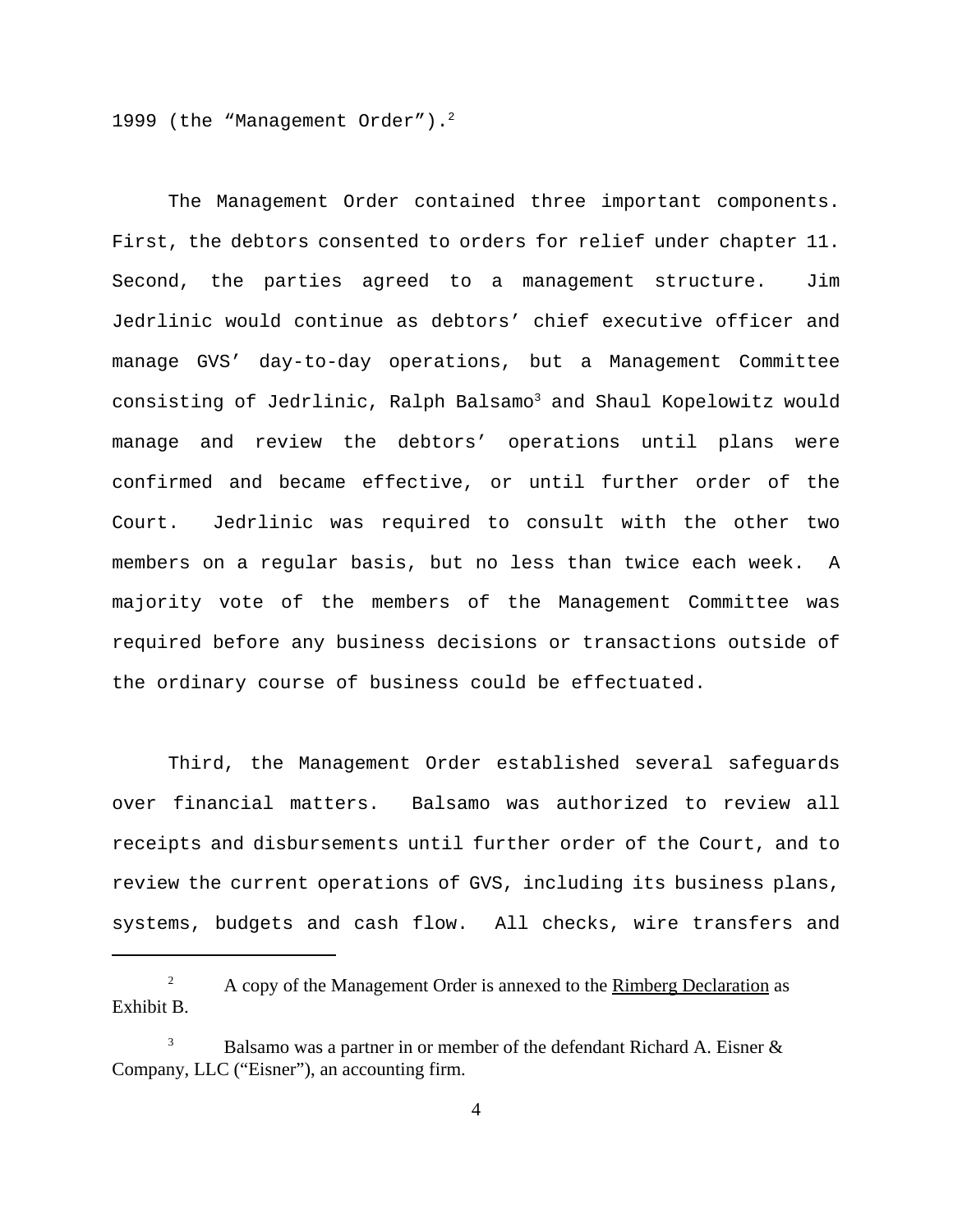1999 (the "Management Order"). $^2$ 

The Management Order contained three important components. First, the debtors consented to orders for relief under chapter 11. Second, the parties agreed to a management structure. Jim Jedrlinic would continue as debtors' chief executive officer and manage GVS' day-to-day operations, but a Management Committee consisting of Jedrlinic, Ralph Balsamo<sup>3</sup> and Shaul Kopelowitz would manage and review the debtors' operations until plans were confirmed and became effective, or until further order of the Court. Jedrlinic was required to consult with the other two members on a regular basis, but no less than twice each week. A majority vote of the members of the Management Committee was required before any business decisions or transactions outside of the ordinary course of business could be effectuated.

Third, the Management Order established several safeguards over financial matters. Balsamo was authorized to review all receipts and disbursements until further order of the Court, and to review the current operations of GVS, including its business plans, systems, budgets and cash flow. All checks, wire transfers and

<sup>&</sup>lt;sup>2</sup> A copy of the Management Order is annexed to the Rimberg Declaration as Exhibit B.

 $3$  Balsamo was a partner in or member of the defendant Richard A. Eisner  $\&$ Company, LLC ("Eisner"), an accounting firm.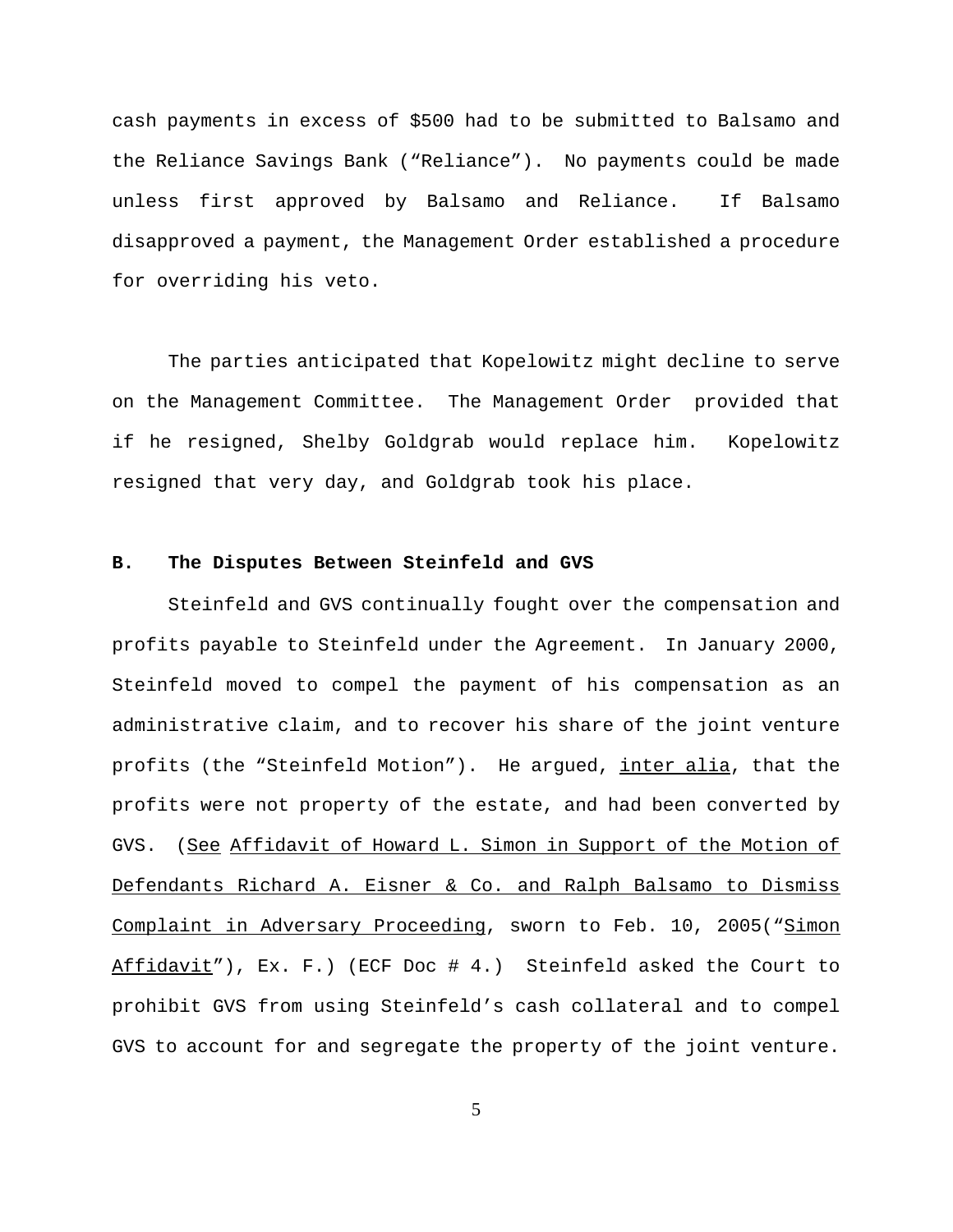cash payments in excess of \$500 had to be submitted to Balsamo and the Reliance Savings Bank ("Reliance"). No payments could be made unless first approved by Balsamo and Reliance. If Balsamo disapproved a payment, the Management Order established a procedure for overriding his veto.

The parties anticipated that Kopelowitz might decline to serve on the Management Committee. The Management Order provided that if he resigned, Shelby Goldgrab would replace him. Kopelowitz resigned that very day, and Goldgrab took his place.

## **B. The Disputes Between Steinfeld and GVS**

Steinfeld and GVS continually fought over the compensation and profits payable to Steinfeld under the Agreement. In January 2000, Steinfeld moved to compel the payment of his compensation as an administrative claim, and to recover his share of the joint venture profits (the "Steinfeld Motion"). He argued, inter alia, that the profits were not property of the estate, and had been converted by GVS. (See Affidavit of Howard L. Simon in Support of the Motion of Defendants Richard A. Eisner & Co. and Ralph Balsamo to Dismiss Complaint in Adversary Proceeding, sworn to Feb. 10, 2005("Simon Affidavit"), Ex. F.) (ECF Doc # 4.) Steinfeld asked the Court to prohibit GVS from using Steinfeld's cash collateral and to compel GVS to account for and segregate the property of the joint venture.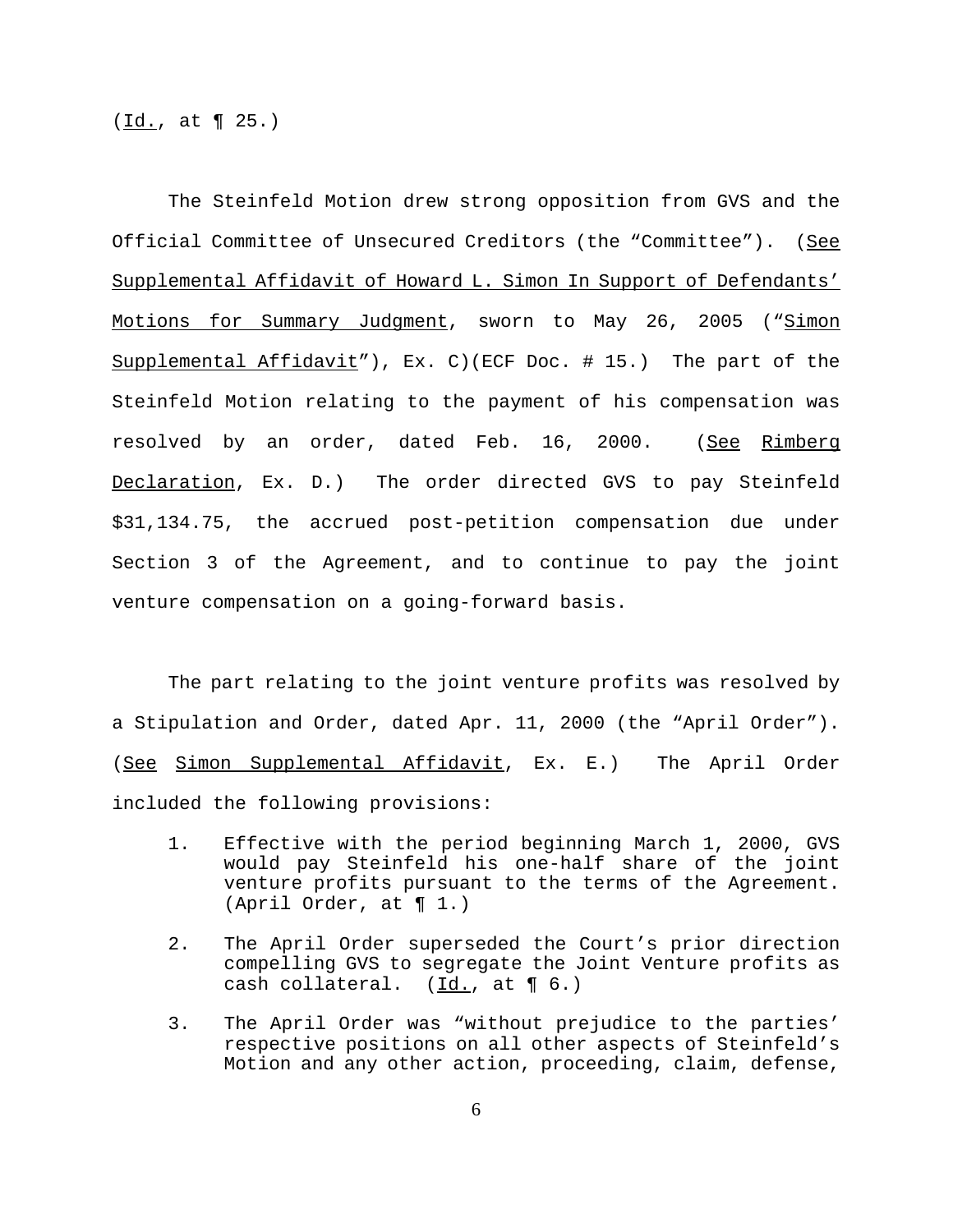$(\underline{Id.}, \underline{at.}]$ 

The Steinfeld Motion drew strong opposition from GVS and the Official Committee of Unsecured Creditors (the "Committee"). (See Supplemental Affidavit of Howard L. Simon In Support of Defendants' Motions for Summary Judgment, sworn to May 26, 2005 ("Simon Supplemental Affidavit"), Ex. C)(ECF Doc. # 15.) The part of the Steinfeld Motion relating to the payment of his compensation was resolved by an order, dated Feb. 16, 2000. (See Rimberg Declaration, Ex. D.) The order directed GVS to pay Steinfeld \$31,134.75, the accrued post-petition compensation due under Section 3 of the Agreement, and to continue to pay the joint venture compensation on a going-forward basis.

The part relating to the joint venture profits was resolved by a Stipulation and Order, dated Apr. 11, 2000 (the "April Order"). (See Simon Supplemental Affidavit, Ex. E.) The April Order included the following provisions:

- 1. Effective with the period beginning March 1, 2000, GVS would pay Steinfeld his one-half share of the joint venture profits pursuant to the terms of the Agreement. (April Order, at ¶ 1.)
- 2. The April Order superseded the Court's prior direction compelling GVS to segregate the Joint Venture profits as cash collateral. (Id., at ¶ 6.)
- 3. The April Order was "without prejudice to the parties' respective positions on all other aspects of Steinfeld's Motion and any other action, proceeding, claim, defense,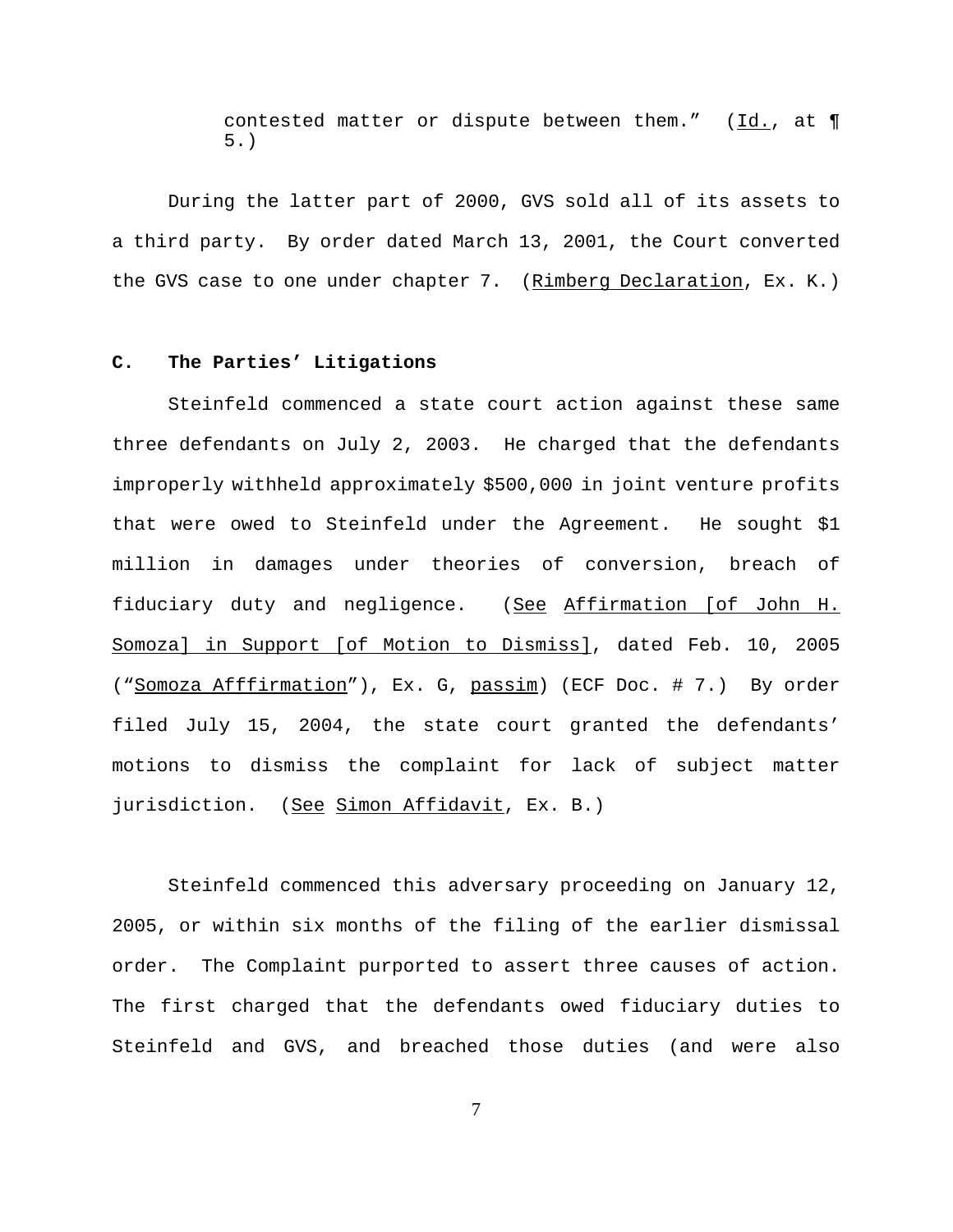contested matter or dispute between them."  $(\underline{Id.},)$  at  $\P$ 5.)

During the latter part of 2000, GVS sold all of its assets to a third party. By order dated March 13, 2001, the Court converted the GVS case to one under chapter 7. (Rimberg Declaration, Ex. K.)

### **C. The Parties' Litigations**

Steinfeld commenced a state court action against these same three defendants on July 2, 2003. He charged that the defendants improperly withheld approximately \$500,000 in joint venture profits that were owed to Steinfeld under the Agreement. He sought \$1 million in damages under theories of conversion, breach of fiduciary duty and negligence. (See Affirmation [of John H. Somoza] in Support [of Motion to Dismiss], dated Feb. 10, 2005 ("Somoza Afffirmation"), Ex. G, passim) (ECF Doc. # 7.) By order filed July 15, 2004, the state court granted the defendants' motions to dismiss the complaint for lack of subject matter jurisdiction. (See Simon Affidavit, Ex. B.)

Steinfeld commenced this adversary proceeding on January 12, 2005, or within six months of the filing of the earlier dismissal order. The Complaint purported to assert three causes of action. The first charged that the defendants owed fiduciary duties to Steinfeld and GVS, and breached those duties (and were also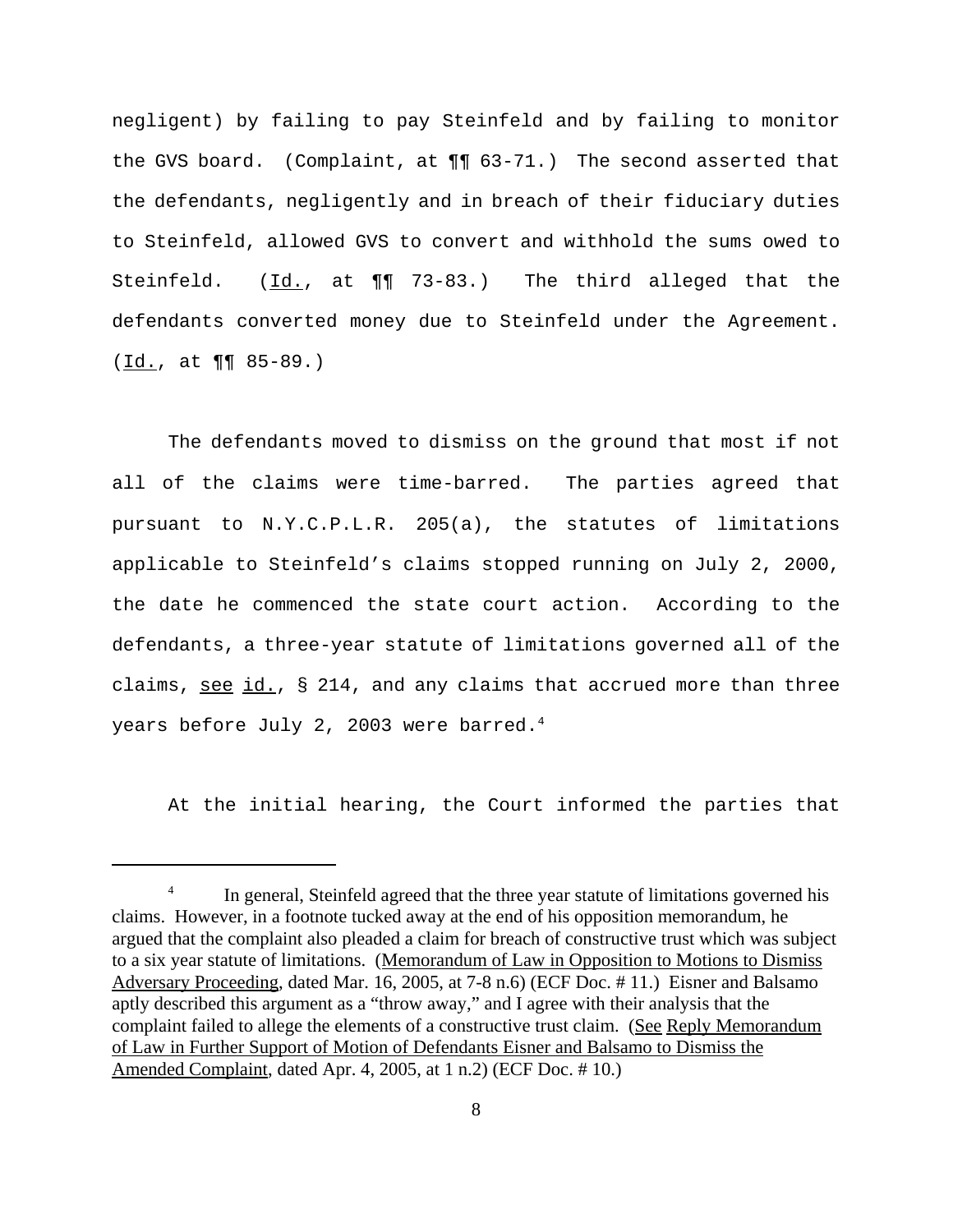negligent) by failing to pay Steinfeld and by failing to monitor the GVS board. (Complaint, at ¶¶ 63-71.) The second asserted that the defendants, negligently and in breach of their fiduciary duties to Steinfeld, allowed GVS to convert and withhold the sums owed to Steinfeld. (Id., at ¶¶ 73-83.) The third alleged that the defendants converted money due to Steinfeld under the Agreement.  $(\underline{Id.}$ , at  $\P\P$  85-89.)

The defendants moved to dismiss on the ground that most if not all of the claims were time-barred.The parties agreed that pursuant to N.Y.C.P.L.R. 205(a), the statutes of limitations applicable to Steinfeld's claims stopped running on July 2, 2000, the date he commenced the state court action. According to the defendants, a three-year statute of limitations governed all of the claims, see id., § 214, and any claims that accrued more than three years before July 2, 2003 were barred.<sup>4</sup>

At the initial hearing, the Court informed the parties that

<sup>&</sup>lt;sup>4</sup> In general, Steinfeld agreed that the three year statute of limitations governed his claims. However, in a footnote tucked away at the end of his opposition memorandum, he argued that the complaint also pleaded a claim for breach of constructive trust which was subject to a six year statute of limitations. (Memorandum of Law in Opposition to Motions to Dismiss Adversary Proceeding, dated Mar. 16, 2005, at 7-8 n.6) (ECF Doc. # 11.) Eisner and Balsamo aptly described this argument as a "throw away," and I agree with their analysis that the complaint failed to allege the elements of a constructive trust claim. (See Reply Memorandum of Law in Further Support of Motion of Defendants Eisner and Balsamo to Dismiss the Amended Complaint, dated Apr. 4, 2005, at 1 n.2) (ECF Doc. # 10.)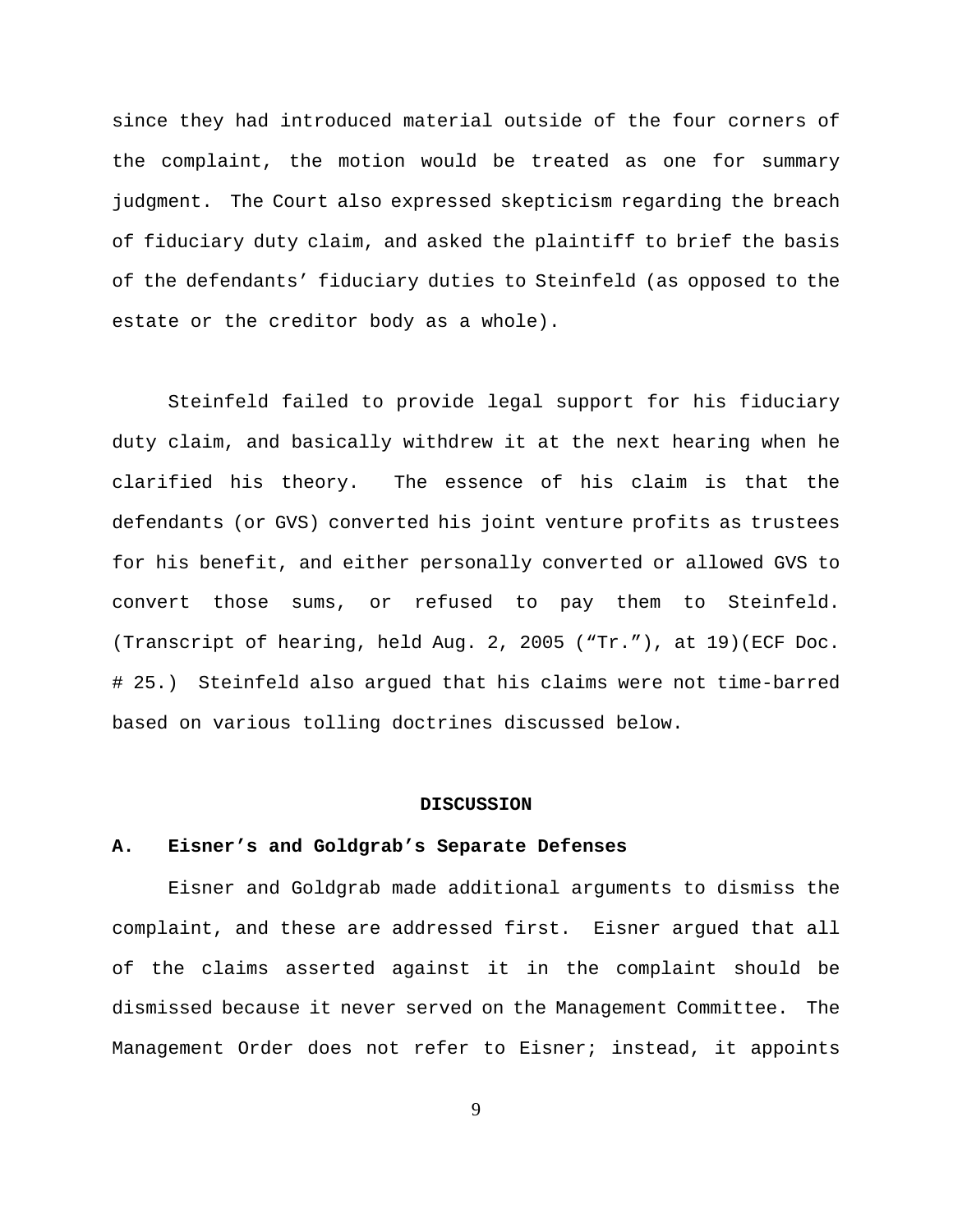since they had introduced material outside of the four corners of the complaint, the motion would be treated as one for summary judgment. The Court also expressed skepticism regarding the breach of fiduciary duty claim, and asked the plaintiff to brief the basis of the defendants' fiduciary duties to Steinfeld (as opposed to the estate or the creditor body as a whole).

Steinfeld failed to provide legal support for his fiduciary duty claim, and basically withdrew it at the next hearing when he clarified his theory. The essence of his claim is that the defendants (or GVS) converted his joint venture profits as trustees for his benefit, and either personally converted or allowed GVS to convert those sums, or refused to pay them to Steinfeld. (Transcript of hearing, held Aug. 2, 2005 ("Tr."), at 19)(ECF Doc. # 25.) Steinfeld also argued that his claims were not time-barred based on various tolling doctrines discussed below.

#### **DISCUSSION**

### **A. Eisner's and Goldgrab's Separate Defenses**

Eisner and Goldgrab made additional arguments to dismiss the complaint, and these are addressed first. Eisner argued that all of the claims asserted against it in the complaint should be dismissed because it never served on the Management Committee. The Management Order does not refer to Eisner; instead, it appoints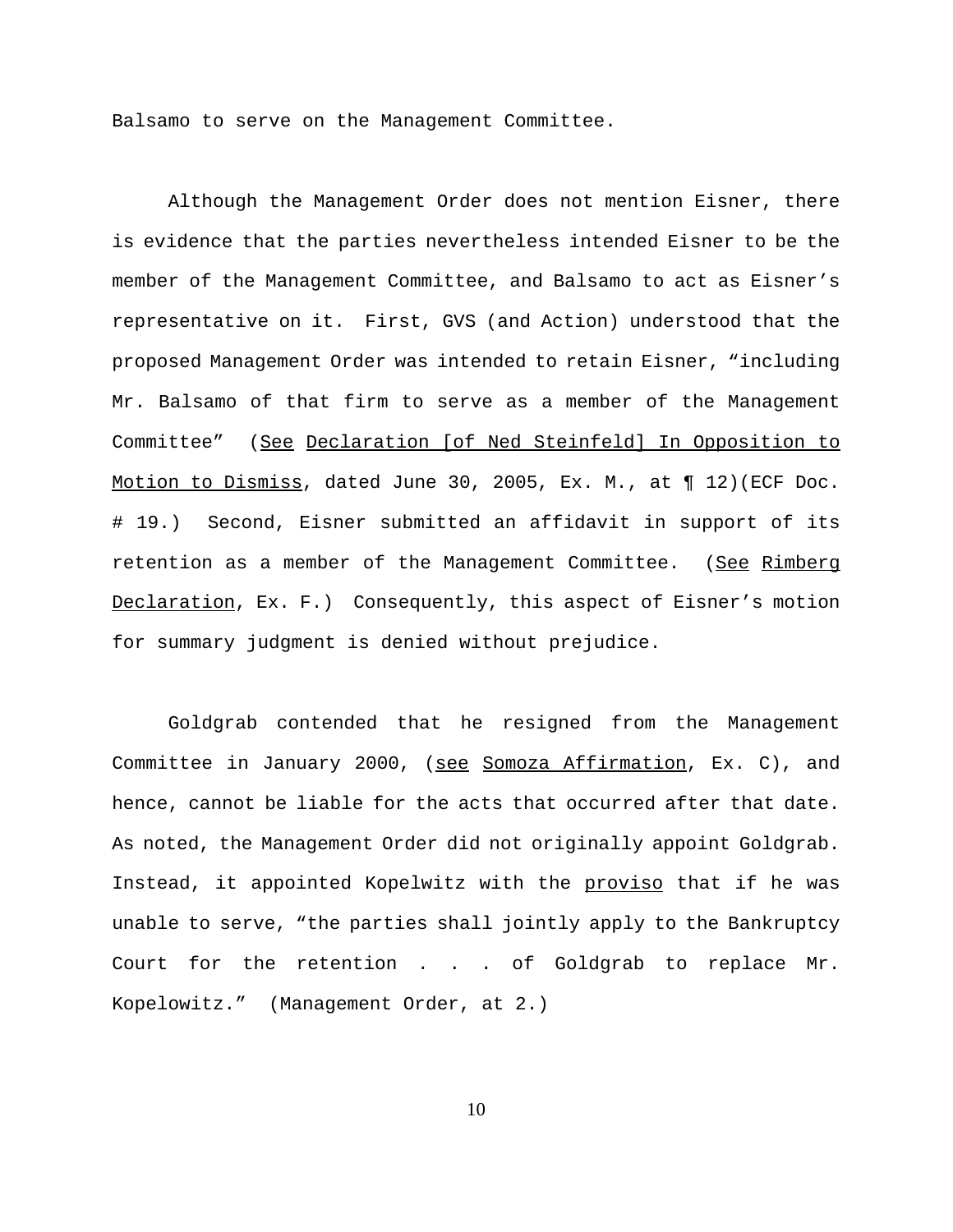Balsamo to serve on the Management Committee.

Although the Management Order does not mention Eisner, there is evidence that the parties nevertheless intended Eisner to be the member of the Management Committee, and Balsamo to act as Eisner's representative on it. First, GVS (and Action) understood that the proposed Management Order was intended to retain Eisner, "including Mr. Balsamo of that firm to serve as a member of the Management Committee" (See Declaration [of Ned Steinfeld] In Opposition to Motion to Dismiss, dated June 30, 2005, Ex. M., at ¶ 12)(ECF Doc. # 19.) Second, Eisner submitted an affidavit in support of its retention as a member of the Management Committee. (See Rimberg Declaration, Ex. F.) Consequently, this aspect of Eisner's motion for summary judgment is denied without prejudice.

Goldgrab contended that he resigned from the Management Committee in January 2000, (see Somoza Affirmation, Ex. C), and hence, cannot be liable for the acts that occurred after that date. As noted, the Management Order did not originally appoint Goldgrab. Instead, it appointed Kopelwitz with the proviso that if he was unable to serve, "the parties shall jointly apply to the Bankruptcy Court for the retention . . . of Goldgrab to replace Mr. Kopelowitz." (Management Order, at 2.)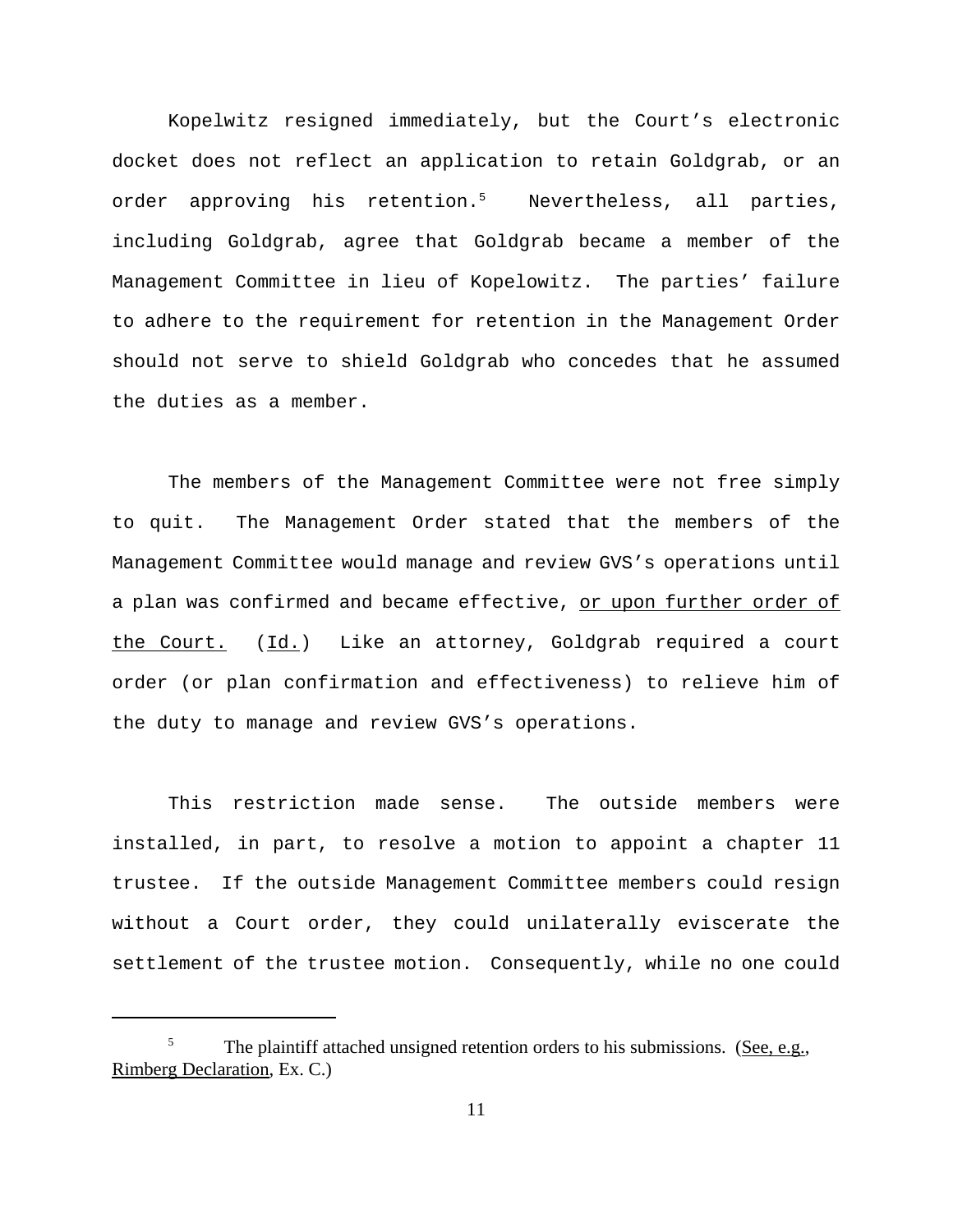Kopelwitz resigned immediately, but the Court's electronic docket does not reflect an application to retain Goldgrab, or an order approving his retention.<sup>5</sup> Nevertheless, all parties, including Goldgrab, agree that Goldgrab became a member of the Management Committee in lieu of Kopelowitz. The parties' failure to adhere to the requirement for retention in the Management Order should not serve to shield Goldgrab who concedes that he assumed the duties as a member.

The members of the Management Committee were not free simply to quit. The Management Order stated that the members of the Management Committee would manage and review GVS's operations until a plan was confirmed and became effective, or upon further order of the Court. (Id.) Like an attorney, Goldgrab required a court order (or plan confirmation and effectiveness) to relieve him of the duty to manage and review GVS's operations.

This restriction made sense. The outside members were installed, in part, to resolve a motion to appoint a chapter 11 trustee. If the outside Management Committee members could resign without a Court order, they could unilaterally eviscerate the settlement of the trustee motion. Consequently, while no one could

The plaintiff attached unsigned retention orders to his submissions. (See, e.g., Rimberg Declaration, Ex. C.)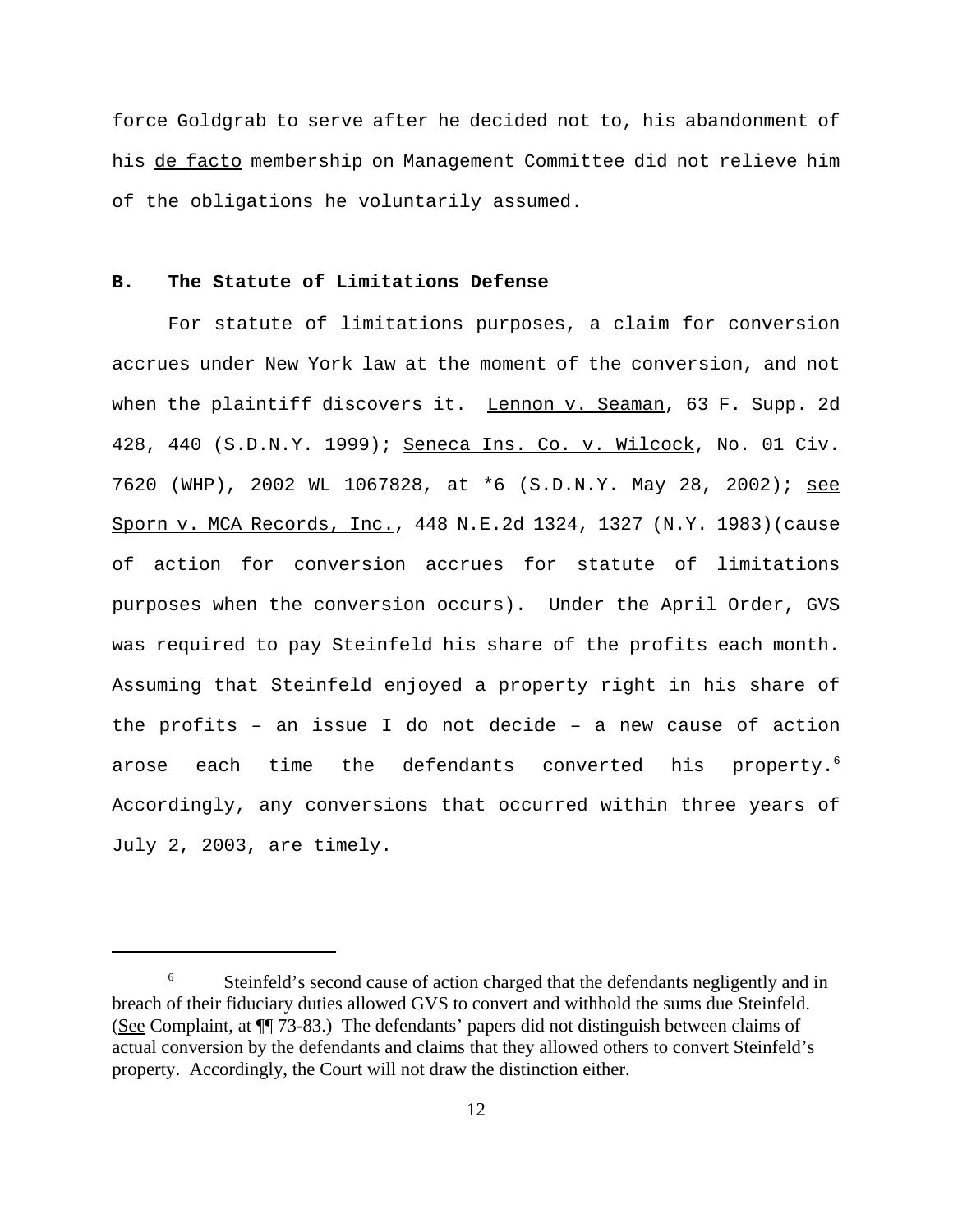force Goldgrab to serve after he decided not to, his abandonment of his de facto membership on Management Committee did not relieve him of the obligations he voluntarily assumed.

# **B. The Statute of Limitations Defense**

For statute of limitations purposes, a claim for conversion accrues under New York law at the moment of the conversion, and not when the plaintiff discovers it. Lennon v. Seaman, 63 F. Supp. 2d 428, 440 (S.D.N.Y. 1999); Seneca Ins. Co. v. Wilcock, No. 01 Civ. 7620 (WHP), 2002 WL 1067828, at \*6 (S.D.N.Y. May 28, 2002); see Sporn v. MCA Records, Inc., 448 N.E.2d 1324, 1327 (N.Y. 1983)(cause of action for conversion accrues for statute of limitations purposes when the conversion occurs). Under the April Order, GVS was required to pay Steinfeld his share of the profits each month. Assuming that Steinfeld enjoyed a property right in his share of the profits – an issue I do not decide – a new cause of action arose each time the defendants converted his property.<sup>6</sup> Accordingly, any conversions that occurred within three years of July 2, 2003, are timely.

<sup>&</sup>lt;sup>6</sup> Steinfeld's second cause of action charged that the defendants negligently and in breach of their fiduciary duties allowed GVS to convert and withhold the sums due Steinfeld. (See Complaint, at ¶¶ 73-83.) The defendants' papers did not distinguish between claims of actual conversion by the defendants and claims that they allowed others to convert Steinfeld's property. Accordingly, the Court will not draw the distinction either.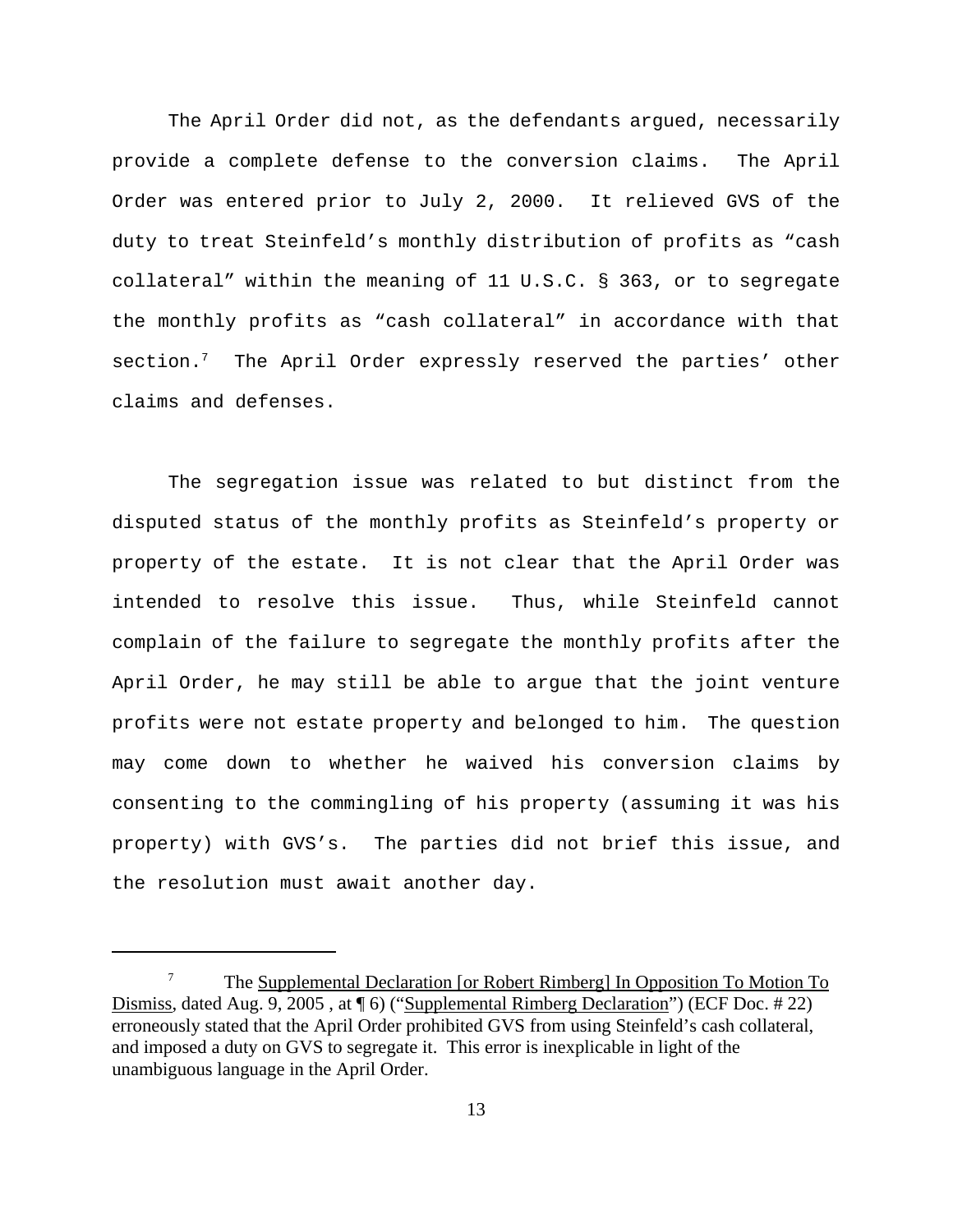The April Order did not, as the defendants argued, necessarily provide a complete defense to the conversion claims. The April Order was entered prior to July 2, 2000. It relieved GVS of the duty to treat Steinfeld's monthly distribution of profits as "cash collateral" within the meaning of 11 U.S.C. § 363, or to segregate the monthly profits as "cash collateral" in accordance with that section.7 The April Order expressly reserved the parties' other claims and defenses.

The segregation issue was related to but distinct from the disputed status of the monthly profits as Steinfeld's property or property of the estate. It is not clear that the April Order was intended to resolve this issue. Thus, while Steinfeld cannot complain of the failure to segregate the monthly profits after the April Order, he may still be able to argue that the joint venture profits were not estate property and belonged to him. The question may come down to whether he waived his conversion claims by consenting to the commingling of his property (assuming it was his property) with GVS's. The parties did not brief this issue, and the resolution must await another day.

<sup>&</sup>lt;sup>7</sup> The <u>Supplemental Declaration [or Robert Rimberg]</u> In Opposition To Motion To Dismiss, dated Aug. 9, 2005 , at ¶ 6) ("Supplemental Rimberg Declaration") (ECF Doc. # 22) erroneously stated that the April Order prohibited GVS from using Steinfeld's cash collateral, and imposed a duty on GVS to segregate it. This error is inexplicable in light of the unambiguous language in the April Order.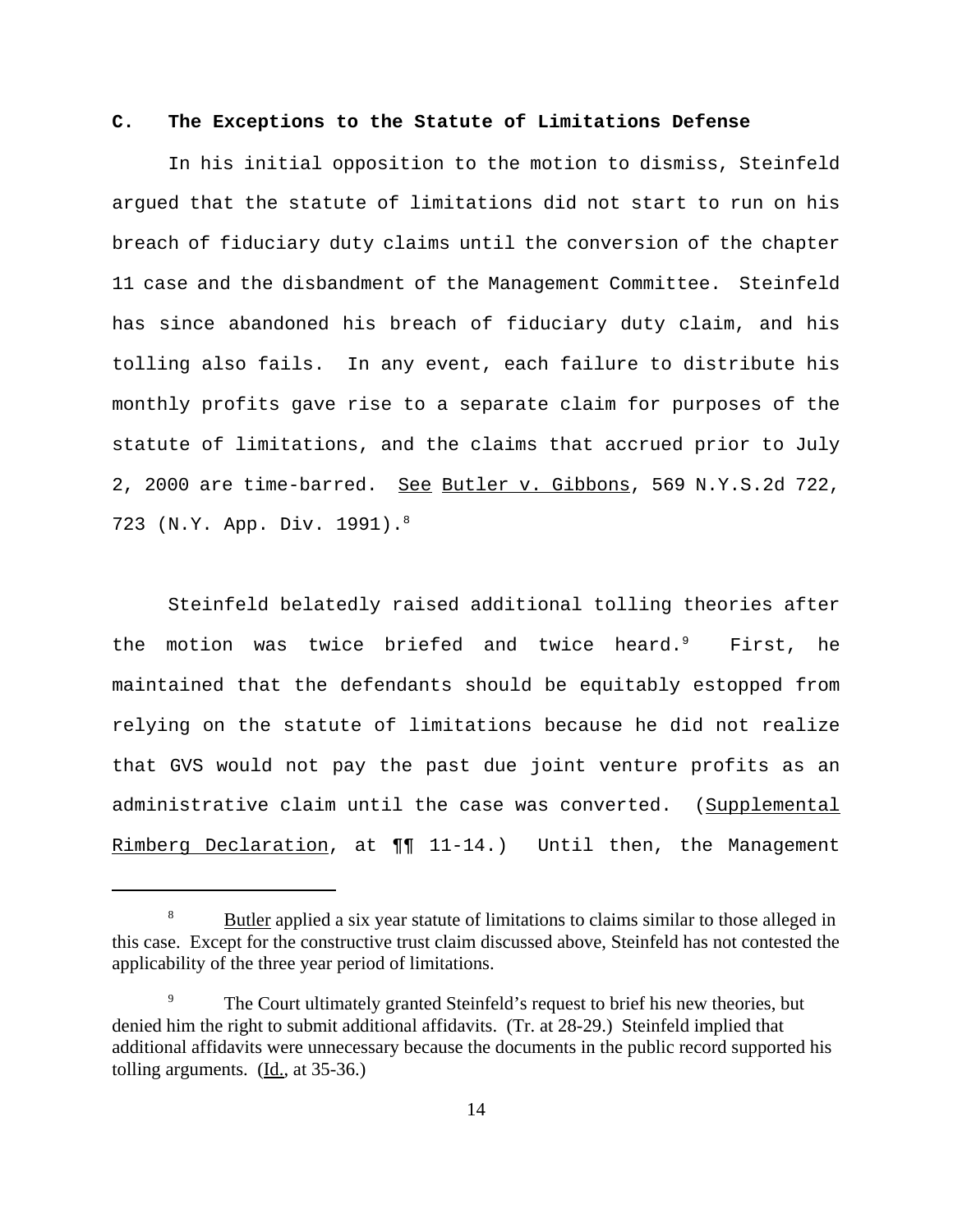## **C. The Exceptions to the Statute of Limitations Defense**

In his initial opposition to the motion to dismiss, Steinfeld argued that the statute of limitations did not start to run on his breach of fiduciary duty claims until the conversion of the chapter 11 case and the disbandment of the Management Committee. Steinfeld has since abandoned his breach of fiduciary duty claim, and his tolling also fails. In any event, each failure to distribute his monthly profits gave rise to a separate claim for purposes of the statute of limitations, and the claims that accrued prior to July 2, 2000 are time-barred. See Butler v. Gibbons, 569 N.Y.S.2d 722, 723 (N.Y. App. Div. 1991).8

Steinfeld belatedly raised additional tolling theories after the motion was twice briefed and twice heard.<sup>9</sup> First, he maintained that the defendants should be equitably estopped from relying on the statute of limitations because he did not realize that GVS would not pay the past due joint venture profits as an administrative claim until the case was converted. (Supplemental Rimberg Declaration, at  $\P\P$  11-14.) Until then, the Management

<sup>&</sup>lt;sup>8</sup> Butler applied a six year statute of limitations to claims similar to those alleged in this case. Except for the constructive trust claim discussed above, Steinfeld has not contested the applicability of the three year period of limitations.

<sup>&</sup>lt;sup>9</sup> The Court ultimately granted Steinfeld's request to brief his new theories, but denied him the right to submit additional affidavits. (Tr. at 28-29.) Steinfeld implied that additional affidavits were unnecessary because the documents in the public record supported his tolling arguments.  $(\underline{Id.}, \underline{at 35-36.})$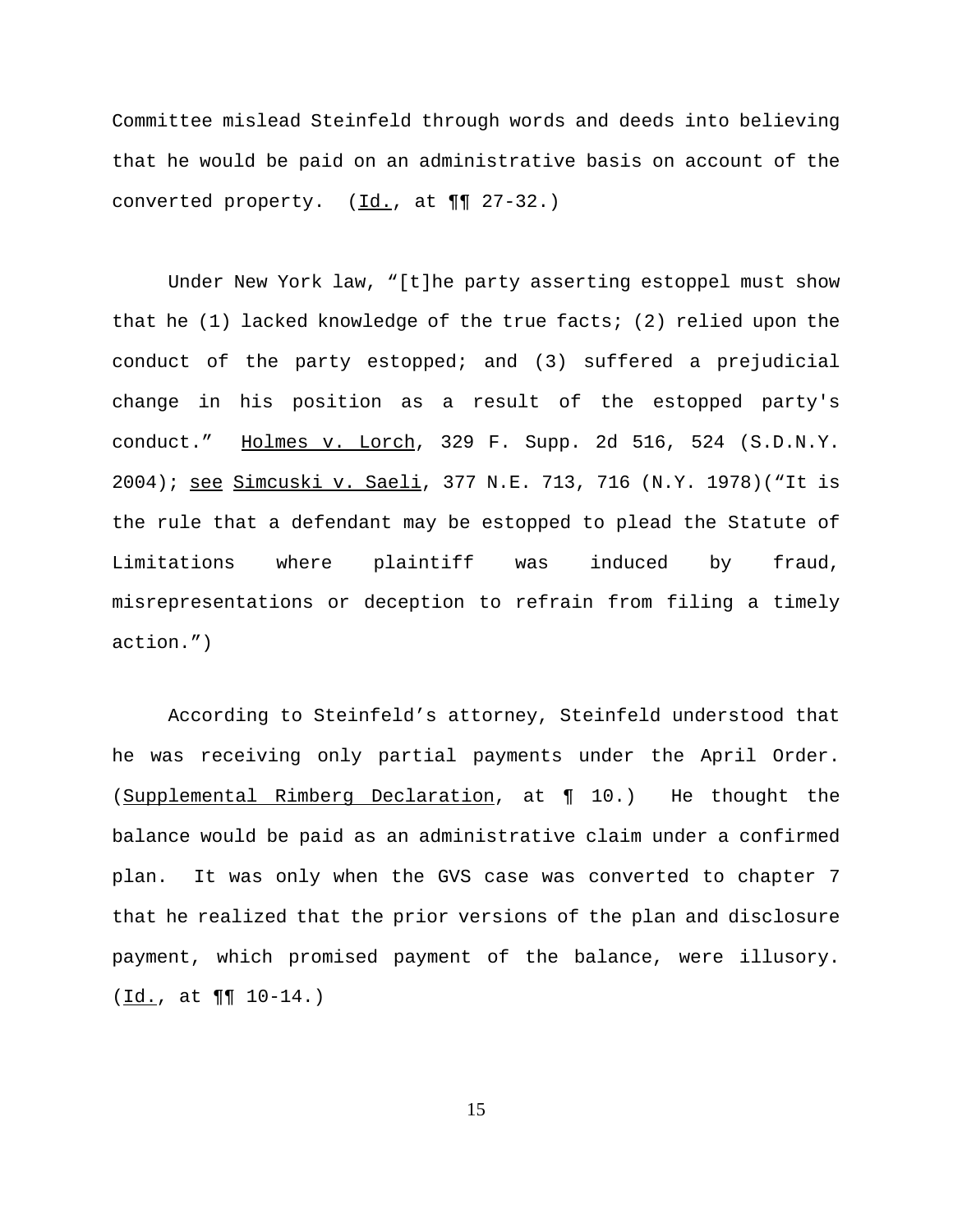Committee mislead Steinfeld through words and deeds into believing that he would be paid on an administrative basis on account of the converted property.  $(\underline{Id.}, \underline{at.} \P \P \ 27-32.)$ 

Under New York law, "[t]he party asserting estoppel must show that he (1) lacked knowledge of the true facts; (2) relied upon the conduct of the party estopped; and (3) suffered a prejudicial change in his position as a result of the estopped party's conduct." Holmes v. Lorch, 329 F. Supp. 2d 516, 524 (S.D.N.Y. 2004); see Simcuski v. Saeli, 377 N.E. 713, 716 (N.Y. 1978)("It is the rule that a defendant may be estopped to plead the Statute of Limitations where plaintiff was induced by fraud, misrepresentations or deception to refrain from filing a timely action.")

According to Steinfeld's attorney, Steinfeld understood that he was receiving only partial payments under the April Order. (Supplemental Rimberg Declaration, at ¶ 10.) He thought the balance would be paid as an administrative claim under a confirmed plan. It was only when the GVS case was converted to chapter 7 that he realized that the prior versions of the plan and disclosure payment, which promised payment of the balance, were illusory. (Id., at ¶¶ 10-14.)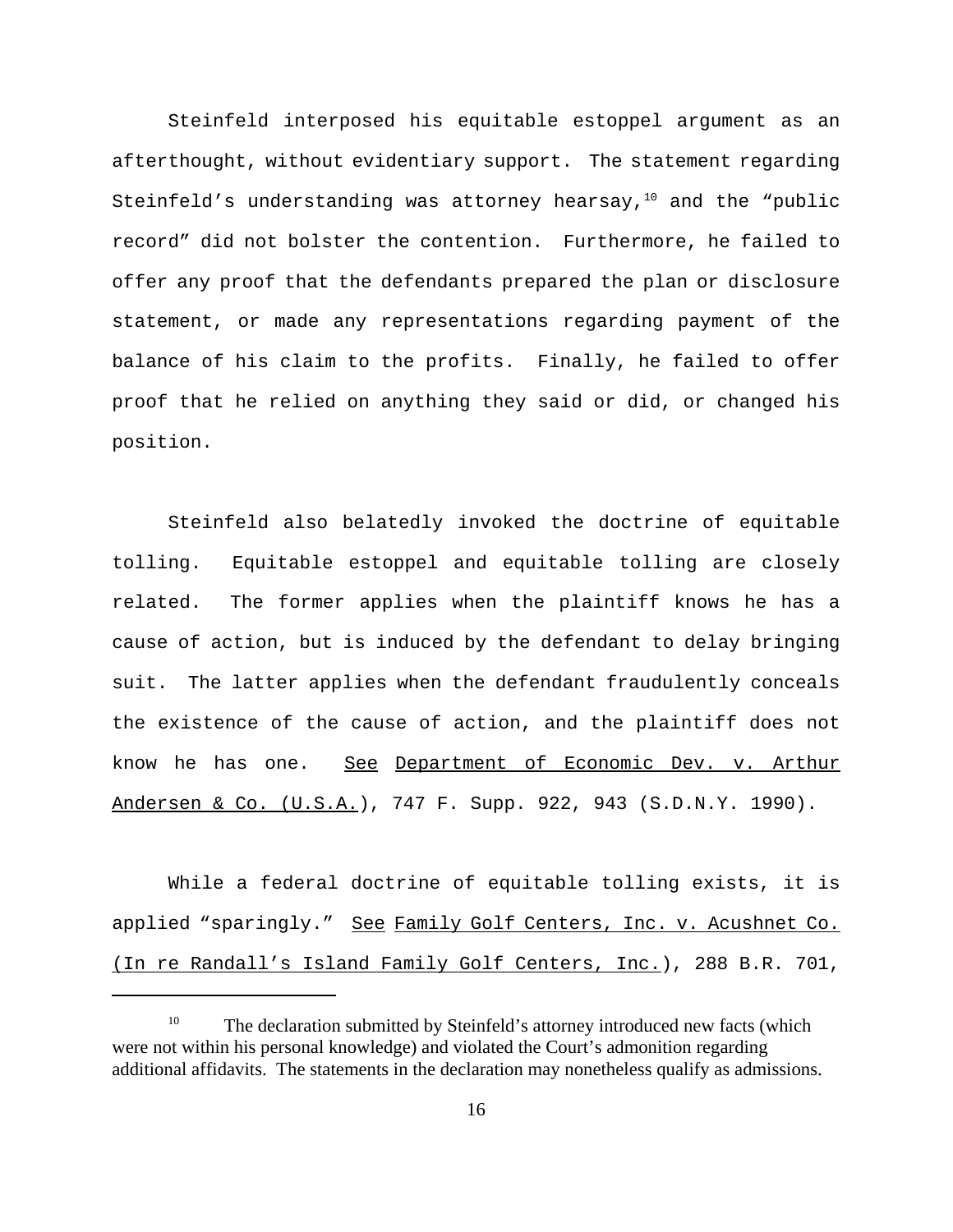Steinfeld interposed his equitable estoppel argument as an afterthought, without evidentiary support. The statement regarding Steinfeld's understanding was attorney hearsay, $10$  and the "public record" did not bolster the contention. Furthermore, he failed to offer any proof that the defendants prepared the plan or disclosure statement, or made any representations regarding payment of the balance of his claim to the profits. Finally, he failed to offer proof that he relied on anything they said or did, or changed his position.

Steinfeld also belatedly invoked the doctrine of equitable tolling. Equitable estoppel and equitable tolling are closely related. The former applies when the plaintiff knows he has a cause of action, but is induced by the defendant to delay bringing suit. The latter applies when the defendant fraudulently conceals the existence of the cause of action, and the plaintiff does not know he has one. See Department of Economic Dev. v. Arthur Andersen & Co. (U.S.A.), 747 F. Supp. 922, 943 (S.D.N.Y. 1990).

While a federal doctrine of equitable tolling exists, it is applied "sparingly." See Family Golf Centers, Inc. v. Acushnet Co. (In re Randall's Island Family Golf Centers, Inc.), 288 B.R. 701,

<sup>&</sup>lt;sup>10</sup> The declaration submitted by Steinfeld's attorney introduced new facts (which were not within his personal knowledge) and violated the Court's admonition regarding additional affidavits. The statements in the declaration may nonetheless qualify as admissions.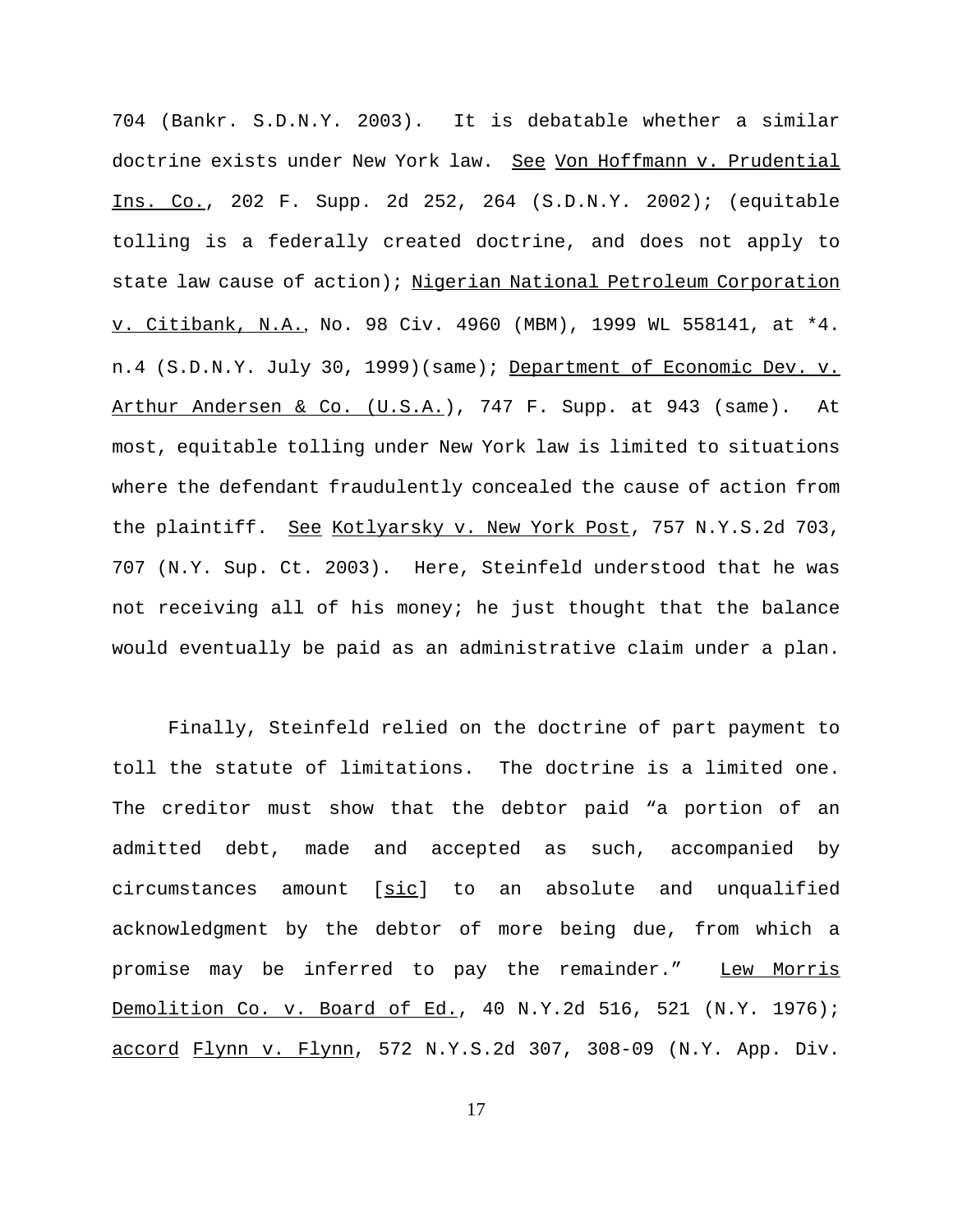704 (Bankr. S.D.N.Y. 2003). It is debatable whether a similar doctrine exists under New York law. See Von Hoffmann v. Prudential Ins. Co., 202 F. Supp. 2d 252, 264 (S.D.N.Y. 2002); (equitable tolling is a federally created doctrine, and does not apply to state law cause of action); Nigerian National Petroleum Corporation v. Citibank, N.A., No. 98 Civ. 4960 (MBM), 1999 WL 558141, at \*4. n.4 (S.D.N.Y. July 30, 1999)(same); Department of Economic Dev. v. Arthur Andersen & Co. (U.S.A.), 747 F. Supp. at 943 (same). At most, equitable tolling under New York law is limited to situations where the defendant fraudulently concealed the cause of action from the plaintiff. See Kotlyarsky v. New York Post, 757 N.Y.S.2d 703, 707 (N.Y. Sup. Ct. 2003). Here, Steinfeld understood that he was not receiving all of his money; he just thought that the balance would eventually be paid as an administrative claim under a plan.

Finally, Steinfeld relied on the doctrine of part payment to toll the statute of limitations. The doctrine is a limited one. The creditor must show that the debtor paid "a portion of an admitted debt, made and accepted as such, accompanied by circumstances amount [sic] to an absolute and unqualified acknowledgment by the debtor of more being due, from which a promise may be inferred to pay the remainder." Lew Morris Demolition Co. v. Board of Ed., 40 N.Y.2d 516, 521 (N.Y. 1976); accord Flynn v. Flynn, 572 N.Y.S.2d 307, 308-09 (N.Y. App. Div.